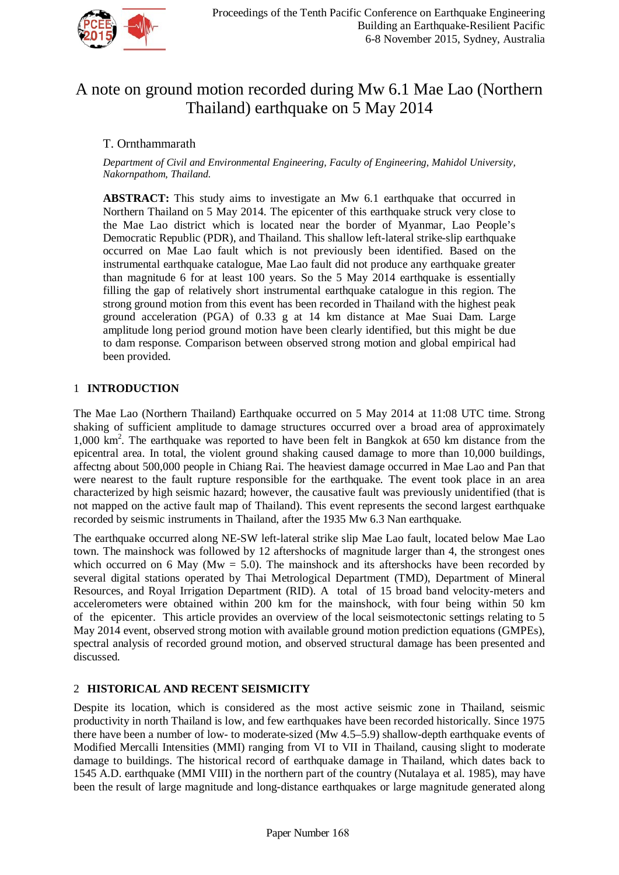

# A note on ground motion recorded during Mw 6.1 Mae Lao (Northern Thailand) earthquake on 5 May 2014

## T. Ornthammarath

*Department of Civil and Environmental Engineering, Faculty of Engineering, Mahidol University, Nakornpathom, Thailand.*

**ABSTRACT:** This study aims to investigate an Mw 6.1 earthquake that occurred in Northern Thailand on 5 May 2014. The epicenter of this earthquake struck very close to the Mae Lao district which is located near the border of Myanmar, Lao People's Democratic Republic (PDR), and Thailand. This shallow left-lateral strike-slip earthquake occurred on Mae Lao fault which is not previously been identified. Based on the instrumental earthquake catalogue, Mae Lao fault did not produce any earthquake greater than magnitude 6 for at least 100 years. So the 5 May 2014 earthquake is essentially filling the gap of relatively short instrumental earthquake catalogue in this region. The strong ground motion from this event has been recorded in Thailand with the highest peak ground acceleration (PGA) of 0.33 g at 14 km distance at Mae Suai Dam. Large amplitude long period ground motion have been clearly identified, but this might be due to dam response. Comparison between observed strong motion and global empirical had been provided.

### 1 **INTRODUCTION**

The Mae Lao (Northern Thailand) Earthquake occurred on 5 May 2014 at 11:08 UTC time. Strong shaking of sufficient amplitude to damage structures occurred over a broad area of approximately 1,000 km<sup>2</sup>. The earthquake was reported to have been felt in Bangkok at 650 km distance from the epicentral area. In total, the violent ground shaking caused damage to more than 10,000 buildings, affectng about 500,000 people in Chiang Rai. The heaviest damage occurred in Mae Lao and Pan that were nearest to the fault rupture responsible for the earthquake. The event took place in an area characterized by high seismic hazard; however, the causative fault was previously unidentified (that is not mapped on the active fault map of Thailand). This event represents the second largest earthquake recorded by seismic instruments in Thailand, after the 1935 Mw 6.3 Nan earthquake.

The earthquake occurred along NE-SW left-lateral strike slip Mae Lao fault, located below Mae Lao town. The mainshock was followed by 12 aftershocks of magnitude larger than 4, the strongest ones which occurred on 6 May ( $Mw = 5.0$ ). The mainshock and its aftershocks have been recorded by several digital stations operated by Thai Metrological Department (TMD), Department of Mineral Resources, and Royal Irrigation Department (RID). A total of 15 broad band velocity-meters and accelerometers were obtained within 200 km for the mainshock, with four being within 50 km of the epicenter. This article provides an overview of the local seismotectonic settings relating to 5 May 2014 event, observed strong motion with available ground motion prediction equations (GMPEs), spectral analysis of recorded ground motion, and observed structural damage has been presented and discussed.

#### 2 **HISTORICAL AND RECENT SEISMICITY**

Despite its location, which is considered as the most active seismic zone in Thailand, seismic productivity in north Thailand is low, and few earthquakes have been recorded historically. Since 1975 there have been a number of low- to moderate-sized (Mw 4.5–5.9) shallow-depth earthquake events of Modified Mercalli Intensities (MMI) ranging from VI to VII in Thailand, causing slight to moderate damage to buildings. The historical record of earthquake damage in Thailand, which dates back to 1545 A.D. earthquake (MMI VIII) in the northern part of the country (Nutalaya et al. 1985), may have been the result of large magnitude and long-distance earthquakes or large magnitude generated along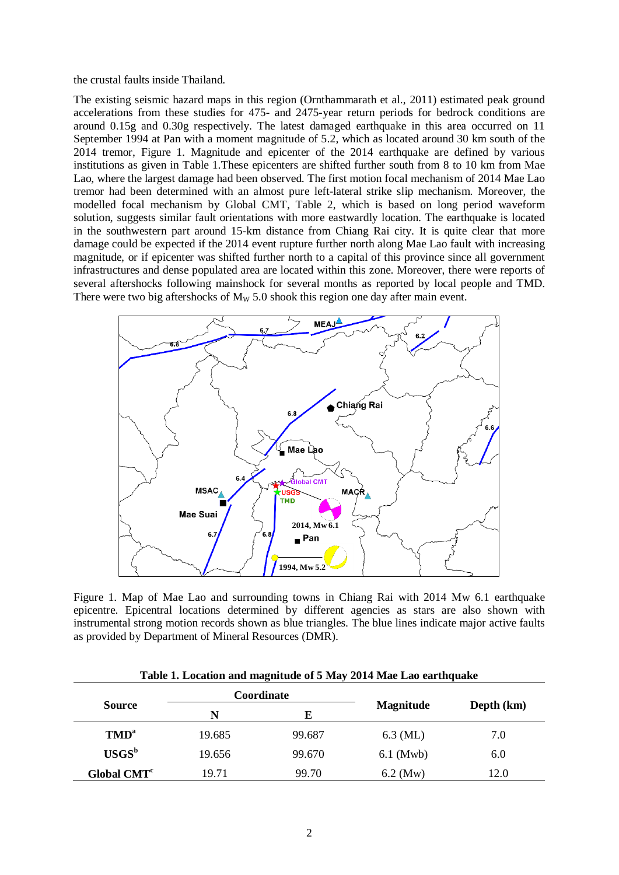the crustal faults inside Thailand.

The existing seismic hazard maps in this region (Ornthammarath et al., 2011) estimated peak ground accelerations from these studies for 475- and 2475-year return periods for bedrock conditions are around 0.15g and 0.30g respectively. The latest damaged earthquake in this area occurred on 11 September 1994 at Pan with a moment magnitude of 5.2, which as located around 30 km south of the 2014 tremor, Figure 1. Magnitude and epicenter of the 2014 earthquake are defined by various institutions as given in Table 1.These epicenters are shifted further south from 8 to 10 km from Mae Lao, where the largest damage had been observed. The first motion focal mechanism of 2014 Mae Lao tremor had been determined with an almost pure left-lateral strike slip mechanism. Moreover, the modelled focal mechanism by Global CMT, Table 2, which is based on long period waveform solution, suggests similar fault orientations with more eastwardly location. The earthquake is located in the southwestern part around 15-km distance from Chiang Rai city. It is quite clear that more damage could be expected if the 2014 event rupture further north along Mae Lao fault with increasing magnitude, or if epicenter was shifted further north to a capital of this province since all government infrastructures and dense populated area are located within this zone. Moreover, there were reports of several aftershocks following mainshock for several months as reported by local people and TMD. There were two big aftershocks of  $M_w$  5.0 shook this region one day after main event.



Figure 1. Map of Mae Lao and surrounding towns in Chiang Rai with 2014 Mw 6.1 earthquake epicentre. Epicentral locations determined by different agencies as stars are also shown with instrumental strong motion records shown as blue triangles. The blue lines indicate major active faults as provided by Department of Mineral Resources (DMR).

| Table 1. Location and magnitude of 5 May 2014 Mae Lao earthquake |        |            |                  |            |  |  |  |
|------------------------------------------------------------------|--------|------------|------------------|------------|--|--|--|
| <b>Source</b>                                                    |        | Coordinate |                  | Depth (km) |  |  |  |
|                                                                  | N      | Е          | <b>Magnitude</b> |            |  |  |  |
| TMD <sup>a</sup>                                                 | 19.685 | 99.687     | $6.3$ (ML)       | 7.0        |  |  |  |
| $USGSb$                                                          | 19.656 | 99.670     | $6.1$ (Mwb)      | 6.0        |  |  |  |
| Global CMT <sup>c</sup>                                          | 19.71  | 99.70      | $6.2 \,(Mw)$     | 12.0       |  |  |  |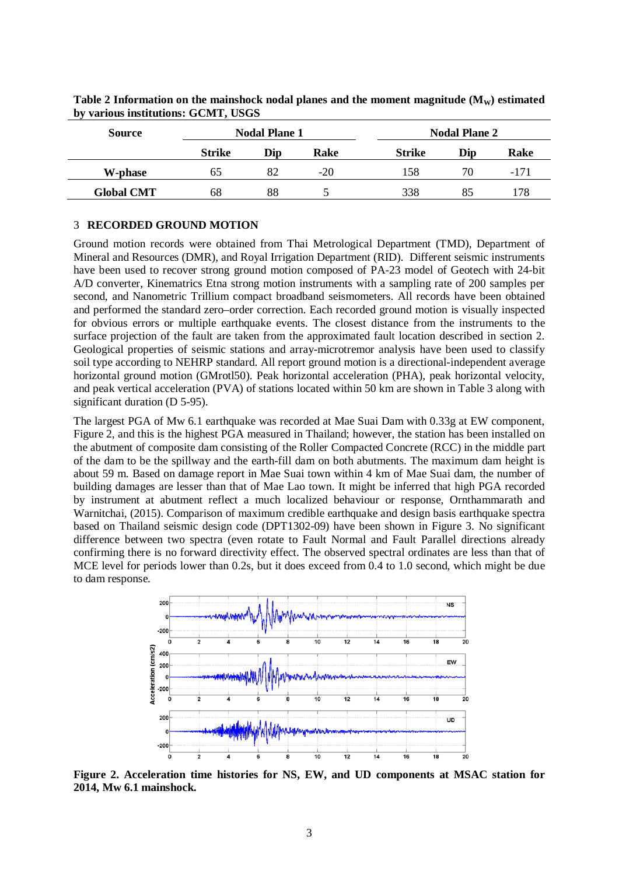| <b>Source</b>     | <b>Nodal Plane 1</b> |     |       | <b>Nodal Plane 2</b> |     |        |
|-------------------|----------------------|-----|-------|----------------------|-----|--------|
|                   | <b>Strike</b>        | Dip | Rake  | <b>Strike</b>        | Dip | Rake   |
| W-phase           | 65                   | 82  | $-20$ | 158                  | 70  | $-171$ |
| <b>Global CMT</b> | 68                   | 88  |       | 338                  | 85  | 178    |

Table 2 Information on the mainshock nodal planes and the moment magnitude (M<sub>W</sub>) estimated **by various institutions: GCMT, USGS**

#### 3 **RECORDED GROUND MOTION**

Ground motion records were obtained from Thai Metrological Department (TMD), Department of Mineral and Resources (DMR), and Royal Irrigation Department (RID). Different seismic instruments have been used to recover strong ground motion composed of PA-23 model of Geotech with 24-bit A/D converter, Kinematrics Etna strong motion instruments with a sampling rate of 200 samples per second, and Nanometric Trillium compact broadband seismometers. All records have been obtained and performed the standard zero–order correction. Each recorded ground motion is visually inspected for obvious errors or multiple earthquake events. The closest distance from the instruments to the surface projection of the fault are taken from the approximated fault location described in section 2. Geological properties of seismic stations and array-microtremor analysis have been used to classify soil type according to NEHRP standard. All report ground motion is a directional-independent average horizontal ground motion (GMrotl50). Peak horizontal acceleration (PHA), peak horizontal velocity, and peak vertical acceleration (PVA) of stations located within 50 km are shown in Table 3 along with significant duration (D 5-95).

The largest PGA of Mw 6.1 earthquake was recorded at Mae Suai Dam with 0.33g at EW component, Figure 2, and this is the highest PGA measured in Thailand; however, the station has been installed on the abutment of composite dam consisting of the Roller Compacted Concrete (RCC) in the middle part of the dam to be the spillway and the earth-fill dam on both abutments. The maximum dam height is about 59 m. Based on damage report in Mae Suai town within 4 km of Mae Suai dam, the number of building damages are lesser than that of Mae Lao town. It might be inferred that high PGA recorded by instrument at abutment reflect a much localized behaviour or response, Ornthammarath and Warnitchai, (2015). Comparison of maximum credible earthquake and design basis earthquake spectra based on Thailand seismic design code (DPT1302-09) have been shown in Figure 3. No significant difference between two spectra (even rotate to Fault Normal and Fault Parallel directions already confirming there is no forward directivity effect. The observed spectral ordinates are less than that of MCE level for periods lower than 0.2s, but it does exceed from 0.4 to 1.0 second, which might be due to dam response.



**Figure 2. Acceleration time histories for NS, EW, and UD components at MSAC station for 2014, Mw 6.1 mainshock.**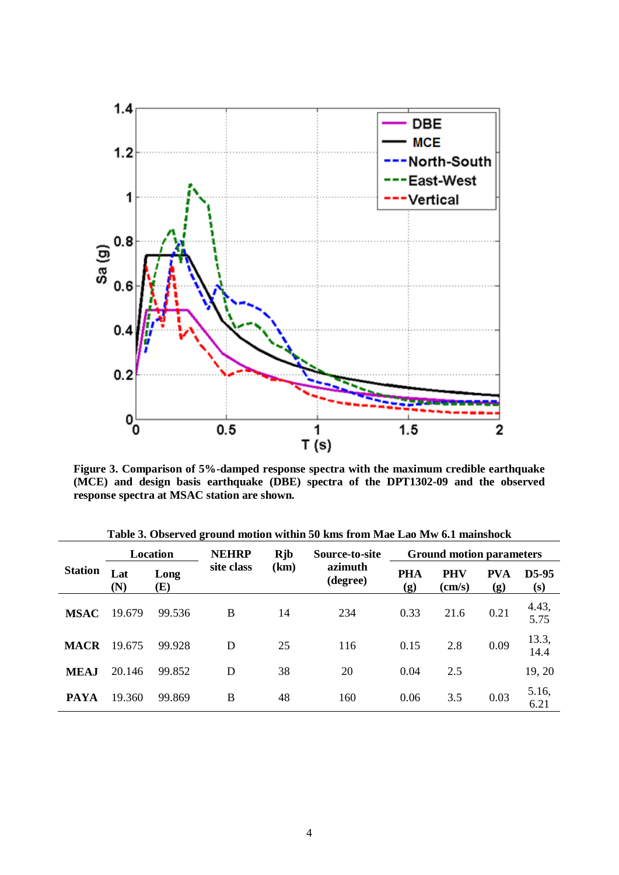

**Figure 3. Comparison of 5%-damped response spectra with the maximum credible earthquake (MCE) and design basis earthquake (DBE) spectra of the DPT1302-09 and the observed response spectra at MSAC station are shown.**

| <b>Station</b> | $\sim$<br>Location |             | <b>NEHRP</b> | <b>R</b> jb | Source-to-site      | <b>Ground motion parameters</b> |                        |                   |                |
|----------------|--------------------|-------------|--------------|-------------|---------------------|---------------------------------|------------------------|-------------------|----------------|
|                | Lat<br>(N)         | Long<br>(E) | site class   | (km)        | azimuth<br>(degree) | <b>PHA</b><br>(g)               | PHV<br>$\text{(cm/s)}$ | <b>PVA</b><br>(g) | $D5-95$<br>(s) |
| <b>MSAC</b>    | 19.679             | 99.536      | B            | 14          | 234                 | 0.33                            | 21.6                   | 0.21              | 4.43,<br>5.75  |
| <b>MACR</b>    | 19.675             | 99.928      | D            | 25          | 116                 | 0.15                            | 2.8                    | 0.09              | 13.3,<br>14.4  |
| <b>MEAJ</b>    | 20.146             | 99.852      | D            | 38          | 20                  | 0.04                            | 2.5                    |                   | 19, 20         |
| <b>PAYA</b>    | 19.360             | 99.869      | B            | 48          | 160                 | 0.06                            | 3.5                    | 0.03              | 5.16,<br>6.21  |

**Table 3. Observed ground motion within 50 kms from Mae Lao Mw 6.1 mainshock**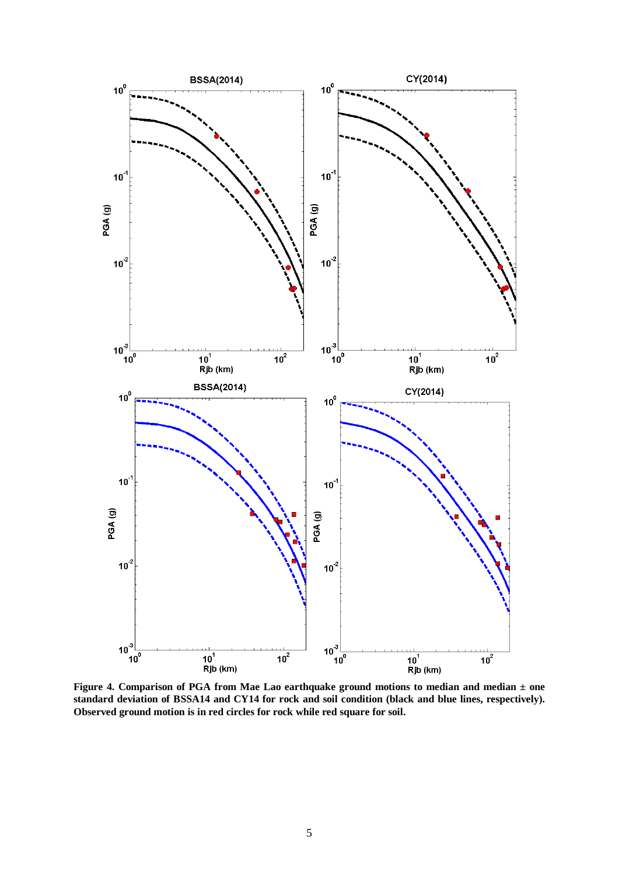

**Figure 4. Comparison of PGA from Mae Lao earthquake ground motions to median and median ± one standard deviation of BSSA14 and CY14 for rock and soil condition (black and blue lines, respectively). Observed ground motion is in red circles for rock while red square for soil.**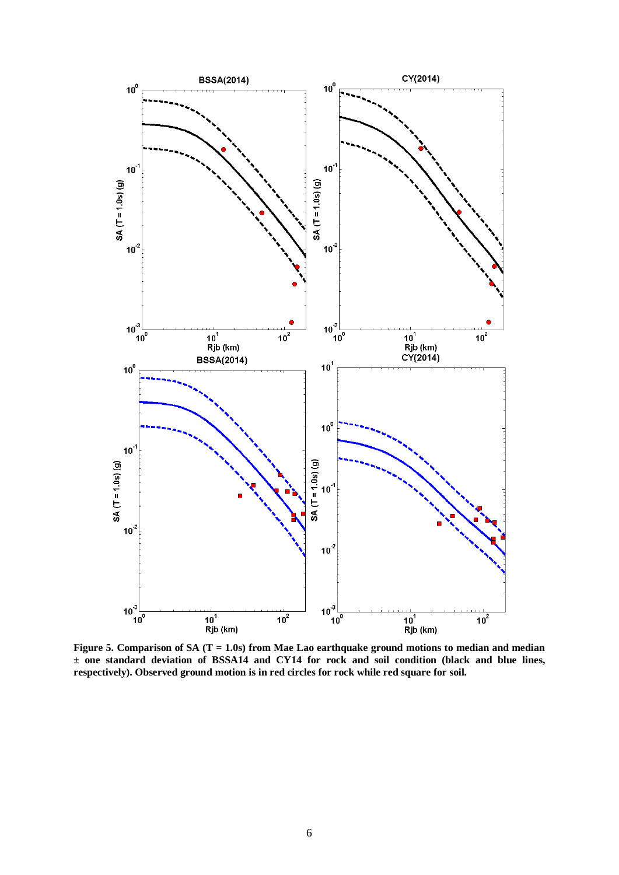

**Figure 5. Comparison of SA (T = 1.0s) from Mae Lao earthquake ground motions to median and median ± one standard deviation of BSSA14 and CY14 for rock and soil condition (black and blue lines, respectively). Observed ground motion is in red circles for rock while red square for soil.**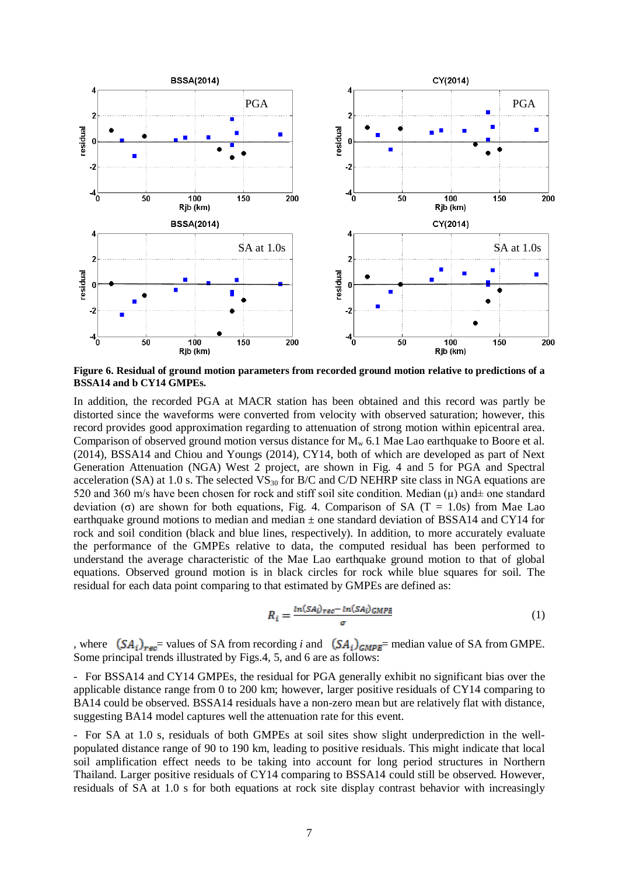

**Figure 6. Residual of ground motion parameters from recorded ground motion relative to predictions of a BSSA14 and b CY14 GMPEs.** 

In addition, the recorded PGA at MACR station has been obtained and this record was partly be distorted since the waveforms were converted from velocity with observed saturation; however, this record provides good approximation regarding to attenuation of strong motion within epicentral area. Comparison of observed ground motion versus distance for  $M_w$  6.1 Mae Lao earthquake to Boore et al. (2014), BSSA14 and Chiou and Youngs (2014), CY14, both of which are developed as part of Next Generation Attenuation (NGA) West 2 project, are shown in Fig. 4 and 5 for PGA and Spectral acceleration (SA) at 1.0 s. The selected  $VS_{30}$  for B/C and C/D NEHRP site class in NGA equations are 520 and 360 m/s have been chosen for rock and stiff soil site condition. Median ( $\mu$ ) and  $\pm$  one standard deviation (σ) are shown for both equations. Fig. 4. Comparison of SA (T = 1.0s) from Mae Lao earthquake ground motions to median and median  $\pm$  one standard deviation of BSSA14 and CY14 for rock and soil condition (black and blue lines, respectively). In addition, to more accurately evaluate the performance of the GMPEs relative to data, the computed residual has been performed to understand the average characteristic of the Mae Lao earthquake ground motion to that of global equations. Observed ground motion is in black circles for rock while blue squares for soil. The residual for each data point comparing to that estimated by GMPEs are defined as:

$$
R_i = \frac{ln(SA_i)_{rec} - ln(SA_i)_{GMPE}}{\sigma}
$$
 (1)

, where  $(SA_i)_{\text{rec}}$  values of SA from recording *i* and  $(SA_i)_{\text{GMPE}}$  median value of SA from GMPE. Some principal trends illustrated by Figs.4, 5, and 6 are as follows:

- For BSSA14 and CY14 GMPEs, the residual for PGA generally exhibit no significant bias over the applicable distance range from 0 to 200 km; however, larger positive residuals of CY14 comparing to BA14 could be observed. BSSA14 residuals have a non-zero mean but are relatively flat with distance, suggesting BA14 model captures well the attenuation rate for this event.

- For SA at 1.0 s, residuals of both GMPEs at soil sites show slight underprediction in the wellpopulated distance range of 90 to 190 km, leading to positive residuals. This might indicate that local soil amplification effect needs to be taking into account for long period structures in Northern Thailand. Larger positive residuals of CY14 comparing to BSSA14 could still be observed. However, residuals of SA at 1.0 s for both equations at rock site display contrast behavior with increasingly